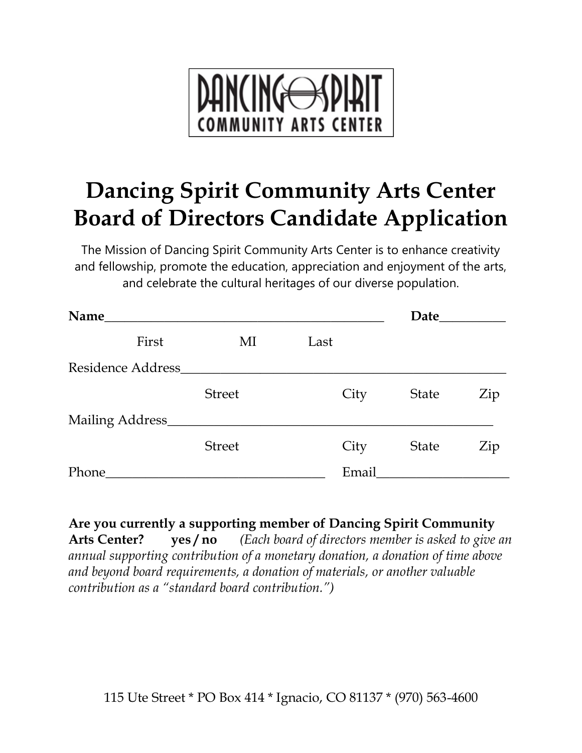

# **Dancing Spirit Community Arts Center Board of Directors Candidate Application**

The Mission of Dancing Spirit Community Arts Center is to enhance creativity and fellowship, promote the education, appreciation and enjoyment of the arts, and celebrate the cultural heritages of our diverse population.

| Name              | Date          |       |              |     |
|-------------------|---------------|-------|--------------|-----|
| First             | MI            | Last  |              |     |
| Residence Address |               |       |              |     |
|                   | <b>Street</b> | City  | <b>State</b> | Zip |
| Mailing Address_  |               |       |              |     |
|                   | <b>Street</b> | City  | <b>State</b> | Zip |
| Phone             |               | Email |              |     |

**Are you currently a supporting member of Dancing Spirit Community Arts Center? yes / no** *(Each board of directors member is asked to give an annual supporting contribution of a monetary donation, a donation of time above and beyond board requirements, a donation of materials, or another valuable contribution as a "standard board contribution.")*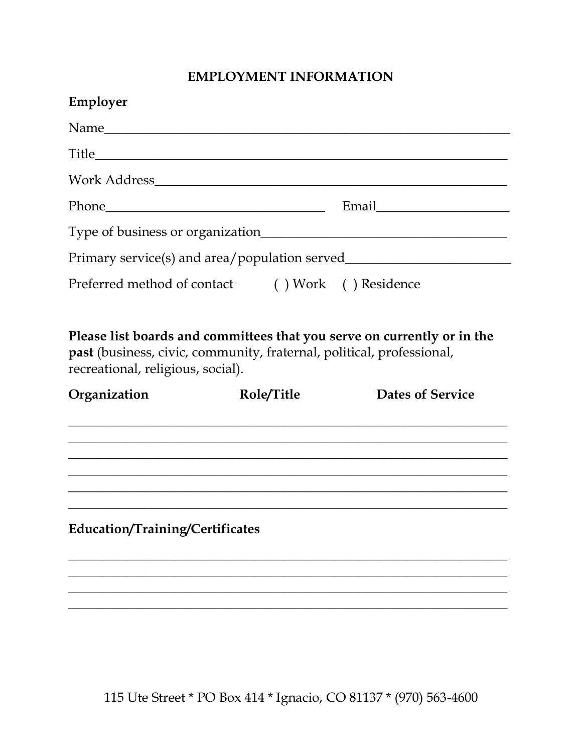## **EMPLOYMENT INFORMATION**

| Employer                                                                                                                                                                              |            |                         |
|---------------------------------------------------------------------------------------------------------------------------------------------------------------------------------------|------------|-------------------------|
| Name                                                                                                                                                                                  |            |                         |
|                                                                                                                                                                                       |            |                         |
|                                                                                                                                                                                       |            |                         |
|                                                                                                                                                                                       |            |                         |
|                                                                                                                                                                                       |            |                         |
|                                                                                                                                                                                       |            |                         |
| Preferred method of contact () Work () Residence                                                                                                                                      |            |                         |
| Please list boards and committees that you serve on currently or in the<br>past (business, civic, community, fraternal, political, professional,<br>recreational, religious, social). | Role/Title | <b>Dates of Service</b> |
| Organization                                                                                                                                                                          |            |                         |
|                                                                                                                                                                                       |            |                         |
| Education/Training/Certificates                                                                                                                                                       |            |                         |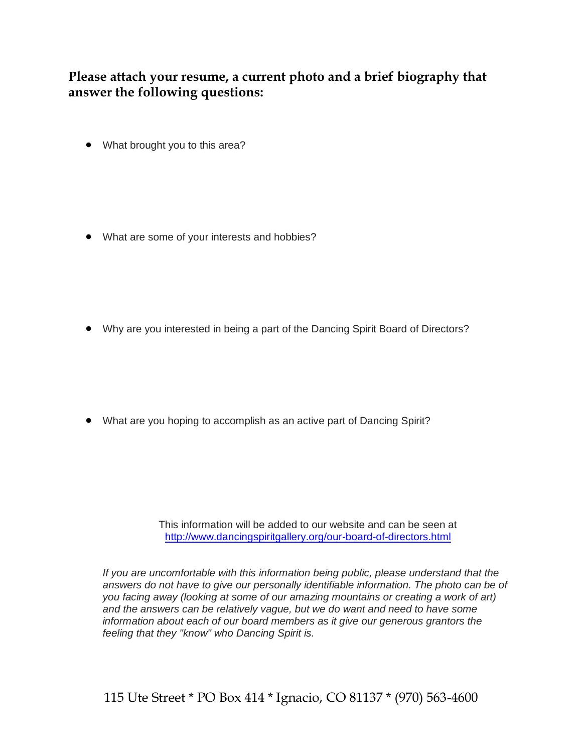**Please attach your resume, a current photo and a brief biography that answer the following questions:** 

• What brought you to this area?

• What are some of your interests and hobbies?

Why are you interested in being a part of the Dancing Spirit Board of Directors?

What are you hoping to accomplish as an active part of Dancing Spirit?

This information will be added to our website and can be seen at <http://www.dancingspiritgallery.org/our-board-of-directors.html>

*If you are uncomfortable with this information being public, please understand that the answers do not have to give our personally identifiable information. The photo can be of you facing away (looking at some of our amazing mountains or creating a work of art) and the answers can be relatively vague, but we do want and need to have some information about each of our board members as it give our generous grantors the feeling that they "know" who Dancing Spirit is.*

115 Ute Street \* PO Box 414 \* Ignacio, CO 81137 \* (970) 563-4600